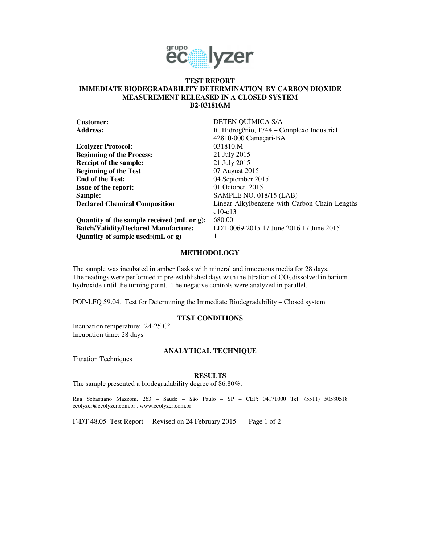

## **TEST REPORT IMMEDIATE BIODEGRADABILITY DETERMINATION BY CARBON DIOXIDE MEASUREMENT RELEASED IN A CLOSED SYSTEM B2-031810.M**

| <b>Customer:</b>                            | DETEN QUÍMICA S/A                             |
|---------------------------------------------|-----------------------------------------------|
| <b>Address:</b>                             | R. Hidrogênio, 1744 – Complexo Industrial     |
|                                             | 42810-000 Camaçari-BA                         |
| <b>Ecolyzer Protocol:</b>                   | 031810.M                                      |
| <b>Beginning of the Process:</b>            | 21 July 2015                                  |
| Receipt of the sample:                      | 21 July 2015                                  |
| <b>Beginning of the Test</b>                | 07 August 2015                                |
| <b>End of the Test:</b>                     | 04 September 2015                             |
| <b>Issue of the report:</b>                 | 01 October $2015$                             |
| Sample:                                     | SAMPLE NO. 018/15 (LAB)                       |
| <b>Declared Chemical Composition</b>        | Linear Alkylbenzene with Carbon Chain Lengths |
|                                             | $c10-c13$                                     |
| Quantity of the sample received (mL or g):  | 680.00                                        |
| <b>Batch/Validity/Declared Manufacture:</b> | LDT-0069-2015 17 June 2016 17 June 2015       |
| Quantity of sample used: (mL or g)          |                                               |

### **METHODOLOGY**

The sample was incubated in amber flasks with mineral and innocuous media for 28 days. The readings were performed in pre-established days with the titration of  $CO<sub>2</sub>$  dissolved in barium hydroxide until the turning point. The negative controls were analyzed in parallel.

POP-LFQ 59.04. Test for Determining the Immediate Biodegradability – Closed system

# **TEST CONDITIONS**

Incubation temperature: 24-25 Cº Incubation time: 28 days

### **ANALYTICAL TECHNIQUE**

Titration Techniques

#### **RESULTS**

The sample presented a biodegradability degree of 86.80%.

Rua Sebastiano Mazzoni, 263 – Saude – São Paulo – SP – CEP: 04171000 Tel: (5511) 50580518 ecolyzer@ecolyzer.com.br . www.ecolyzer.com.br

F-DT 48.05 Test Report Revised on 24 February 2015 Page 1 of 2